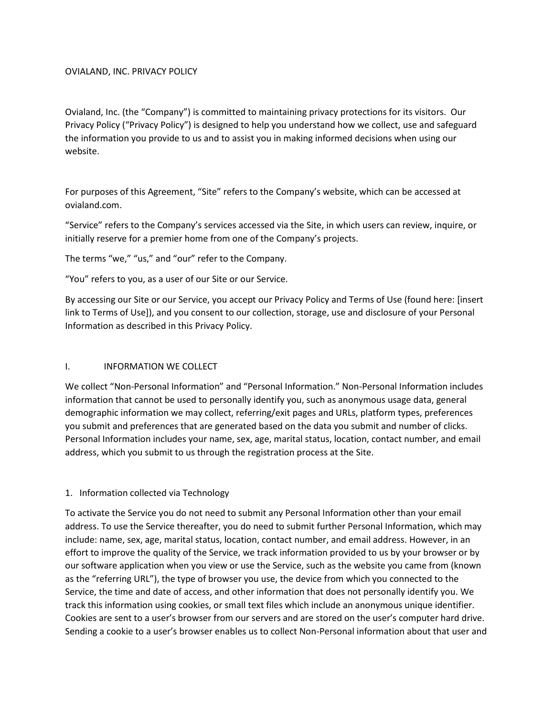#### OVIALAND, INC. PRIVACY POLICY

Ovialand, Inc. (the "Company") is committed to maintaining privacy protections for its visitors. Our Privacy Policy ("Privacy Policy") is designed to help you understand how we collect, use and safeguard the information you provide to us and to assist you in making informed decisions when using our website.

For purposes of this Agreement, "Site" refers to the Company's website, which can be accessed at ovialand.com.

"Service" refers to the Company's services accessed via the Site, in which users can review, inquire, or initially reserve for a premier home from one of the Company's projects.

The terms "we," "us," and "our" refer to the Company.

"You" refers to you, as a user of our Site or our Service.

By accessing our Site or our Service, you accept our Privacy Policy and Terms of Use (found here: [insert link to Terms of Use]), and you consent to our collection, storage, use and disclosure of your Personal Information as described in this Privacy Policy.

### I. **INFORMATION WE COLLECT**

We collect "Non-Personal Information" and "Personal Information." Non-Personal Information includes information that cannot be used to personally identify you, such as anonymous usage data, general demographic information we may collect, referring/exit pages and URLs, platform types, preferences you submit and preferences that are generated based on the data you submit and number of clicks. Personal Information includes your name, sex, age, marital status, location, contact number, and email address, which you submit to us through the registration process at the Site.

### 1. Information collected via Technology

To activate the Service you do not need to submit any Personal Information other than your email address. To use the Service thereafter, you do need to submit further Personal Information, which may include: name, sex, age, marital status, location, contact number, and email address. However, in an effort to improve the quality of the Service, we track information provided to us by your browser or by our software application when you view or use the Service, such as the website you came from (known as the "referring URL"), the type of browser you use, the device from which you connected to the Service, the time and date of access, and other information that does not personally identify you. We track this information using cookies, or small text files which include an anonymous unique identifier. Cookies are sent to a user's browser from our servers and are stored on the user's computer hard drive. Sending a cookie to a user's browser enables us to collect Non-Personal information about that user and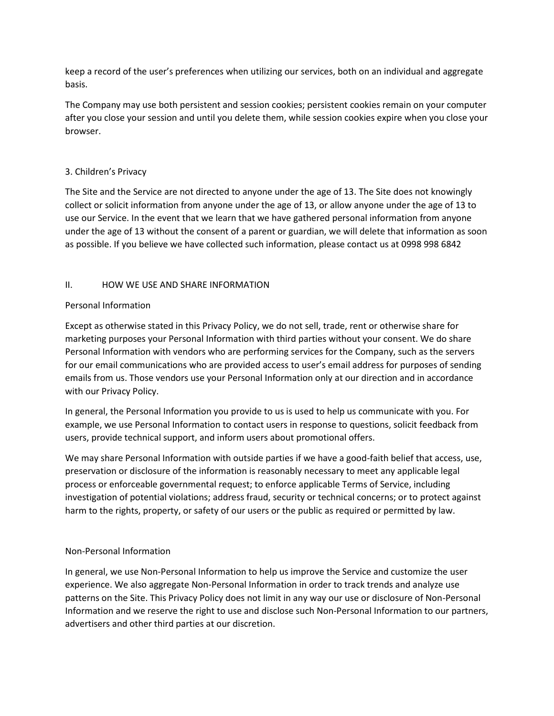keep a record of the user's preferences when utilizing our services, both on an individual and aggregate basis.

The Company may use both persistent and session cookies; persistent cookies remain on your computer after you close your session and until you delete them, while session cookies expire when you close your browser.

## 3. Children's Privacy

The Site and the Service are not directed to anyone under the age of 13. The Site does not knowingly collect or solicit information from anyone under the age of 13, or allow anyone under the age of 13 to use our Service. In the event that we learn that we have gathered personal information from anyone under the age of 13 without the consent of a parent or guardian, we will delete that information as soon as possible. If you believe we have collected such information, please contact us at 0998 998 6842

## II. HOW WE USE AND SHARE INFORMATION

## Personal Information

Except as otherwise stated in this Privacy Policy, we do not sell, trade, rent or otherwise share for marketing purposes your Personal Information with third parties without your consent. We do share Personal Information with vendors who are performing services for the Company, such as the servers for our email communications who are provided access to user's email address for purposes of sending emails from us. Those vendors use your Personal Information only at our direction and in accordance with our Privacy Policy.

In general, the Personal Information you provide to us is used to help us communicate with you. For example, we use Personal Information to contact users in response to questions, solicit feedback from users, provide technical support, and inform users about promotional offers.

We may share Personal Information with outside parties if we have a good-faith belief that access, use, preservation or disclosure of the information is reasonably necessary to meet any applicable legal process or enforceable governmental request; to enforce applicable Terms of Service, including investigation of potential violations; address fraud, security or technical concerns; or to protect against harm to the rights, property, or safety of our users or the public as required or permitted by law.

## Non-Personal Information

In general, we use Non-Personal Information to help us improve the Service and customize the user experience. We also aggregate Non-Personal Information in order to track trends and analyze use patterns on the Site. This Privacy Policy does not limit in any way our use or disclosure of Non-Personal Information and we reserve the right to use and disclose such Non-Personal Information to our partners, advertisers and other third parties at our discretion.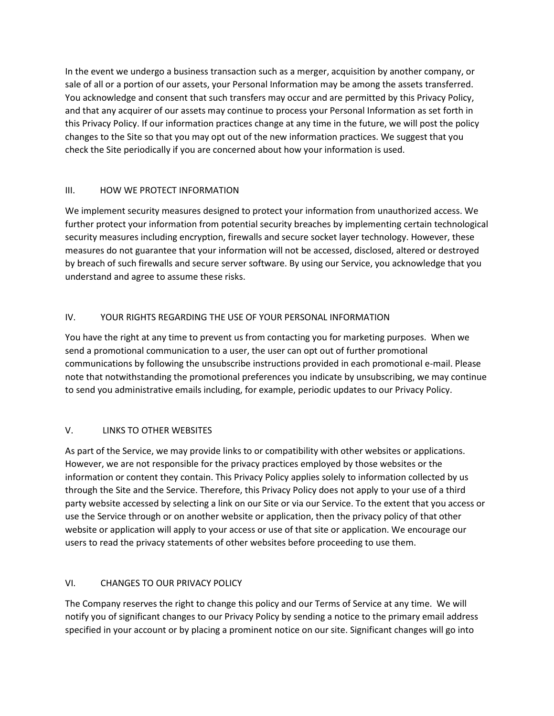In the event we undergo a business transaction such as a merger, acquisition by another company, or sale of all or a portion of our assets, your Personal Information may be among the assets transferred. You acknowledge and consent that such transfers may occur and are permitted by this Privacy Policy, and that any acquirer of our assets may continue to process your Personal Information as set forth in this Privacy Policy. If our information practices change at any time in the future, we will post the policy changes to the Site so that you may opt out of the new information practices. We suggest that you check the Site periodically if you are concerned about how your information is used.

## III. HOW WE PROTECT INFORMATION

We implement security measures designed to protect your information from unauthorized access. We further protect your information from potential security breaches by implementing certain technological security measures including encryption, firewalls and secure socket layer technology. However, these measures do not guarantee that your information will not be accessed, disclosed, altered or destroyed by breach of such firewalls and secure server software. By using our Service, you acknowledge that you understand and agree to assume these risks.

## IV. YOUR RIGHTS REGARDING THE USE OF YOUR PERSONAL INFORMATION

You have the right at any time to prevent us from contacting you for marketing purposes. When we send a promotional communication to a user, the user can opt out of further promotional communications by following the unsubscribe instructions provided in each promotional e-mail. Please note that notwithstanding the promotional preferences you indicate by unsubscribing, we may continue to send you administrative emails including, for example, periodic updates to our Privacy Policy.

# V. LINKS TO OTHER WEBSITES

As part of the Service, we may provide links to or compatibility with other websites or applications. However, we are not responsible for the privacy practices employed by those websites or the information or content they contain. This Privacy Policy applies solely to information collected by us through the Site and the Service. Therefore, this Privacy Policy does not apply to your use of a third party website accessed by selecting a link on our Site or via our Service. To the extent that you access or use the Service through or on another website or application, then the privacy policy of that other website or application will apply to your access or use of that site or application. We encourage our users to read the privacy statements of other websites before proceeding to use them.

# VI. CHANGES TO OUR PRIVACY POLICY

The Company reserves the right to change this policy and our Terms of Service at any time. We will notify you of significant changes to our Privacy Policy by sending a notice to the primary email address specified in your account or by placing a prominent notice on our site. Significant changes will go into